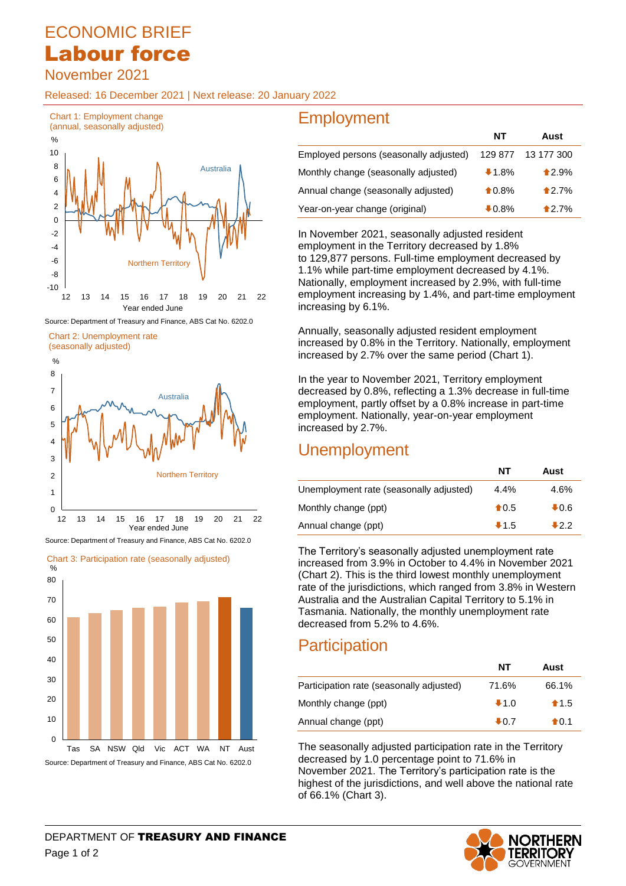# ECONOMIC BRIEF Labour force

November 2021

Released: 16 December 2021 | Next release: 20 January 2022



Source: Department of Treasury and Finance, ABS Cat No. 6202.0

Chart 2: Unemployment rate







Source: Department of Treasury and Finance, ABS Cat No. 6202.0

# **Employment**

|                                        | NT               | Aust       |
|----------------------------------------|------------------|------------|
| Employed persons (seasonally adjusted) | 129 877          | 13 177 300 |
| Monthly change (seasonally adjusted)   | $1.8\%$          | $*2.9%$    |
| Annual change (seasonally adjusted)    | $\bigstar 0.8\%$ | $*2.7%$    |
| Year-on-year change (original)         | $\clubsuit$ 0.8% | 12.7%      |

In November 2021, seasonally adjusted resident employment in the Territory decreased by 1.8% to 129,877 persons. Full-time employment decreased by 1.1% while part-time employment decreased by 4.1%. Nationally, employment increased by 2.9%, with full-time employment increasing by 1.4%, and part-time employment increasing by 6.1%.

Annually, seasonally adjusted resident employment increased by 0.8% in the Territory. Nationally, employment increased by 2.7% over the same period (Chart 1).

In the year to November 2021, Territory employment decreased by 0.8%, reflecting a 1.3% decrease in full-time employment, partly offset by a 0.8% increase in part-time employment. Nationally, year-on-year employment increased by 2.7%.

## Unemployment

|                                         | NΤ             | Aust            |
|-----------------------------------------|----------------|-----------------|
| Unemployment rate (seasonally adjusted) | $4.4\%$        | 4.6%            |
| Monthly change (ppt)                    | $\bigstar$ 0.5 | $\clubsuit$ 0.6 |
| Annual change (ppt)                     | $+1.5$         | $+2.2$          |

The Territory's seasonally adjusted unemployment rate increased from 3.9% in October to 4.4% in November 2021 (Chart 2). This is the third lowest monthly unemployment rate of the jurisdictions, which ranged from 3.8% in Western Australia and the Australian Capital Territory to 5.1% in Tasmania. Nationally, the monthly unemployment rate decreased from 5.2% to 4.6%.

# **Participation**

|                                          | NT              | Aust           |
|------------------------------------------|-----------------|----------------|
| Participation rate (seasonally adjusted) | 71.6%           | 66.1%          |
| Monthly change (ppt)                     | $+1.0$          | $\bigstar$ 1.5 |
| Annual change (ppt)                      | $\clubsuit$ 0.7 | $\bigstar$ 0.1 |

The seasonally adjusted participation rate in the Territory decreased by 1.0 percentage point to 71.6% in November 2021. The Territory's participation rate is the highest of the jurisdictions, and well above the national rate of 66.1% (Chart 3).